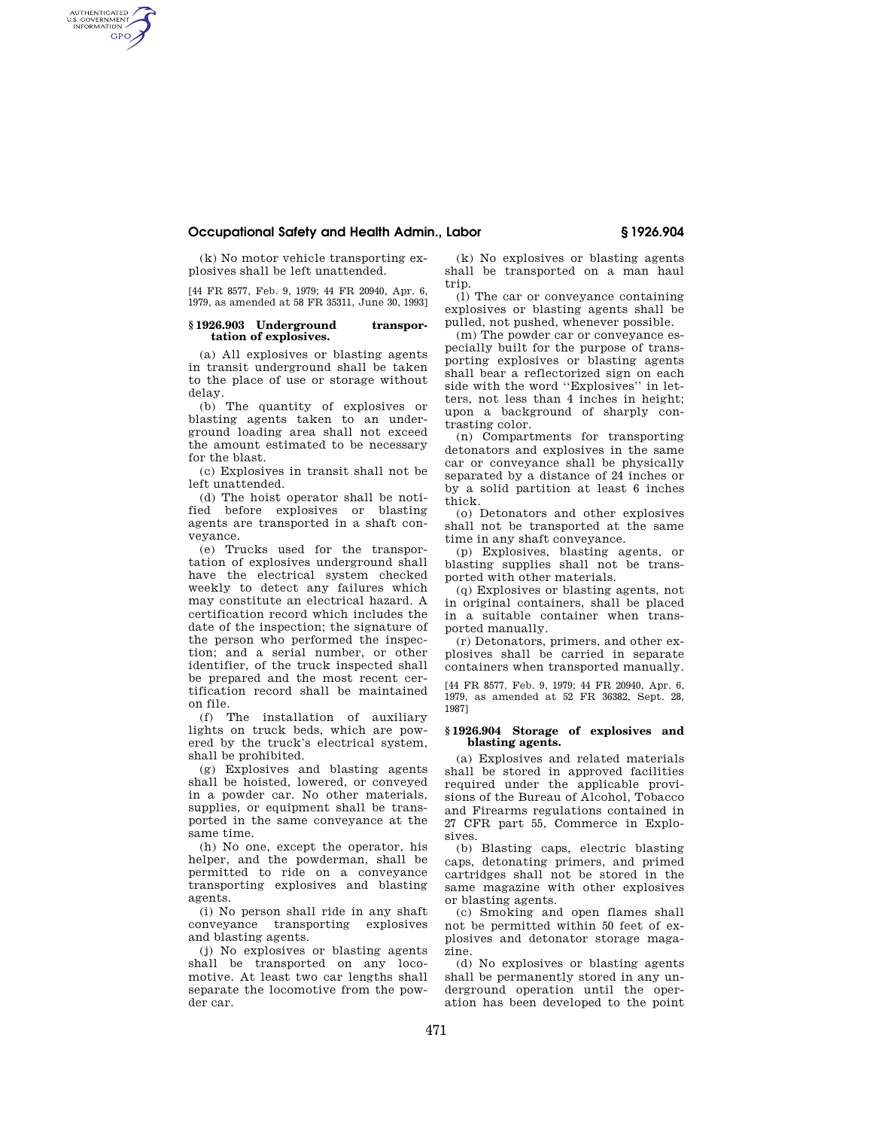# **Occupational Safety and Health Admin., Labor § 1926.904**

(k) No motor vehicle transporting explosives shall be left unattended.

AUTHENTICATED<br>U.S. GOVERNMENT<br>INFORMATION **GPO** 

> [44 FR 8577, Feb. 9, 1979; 44 FR 20940, Apr. 6, 1979, as amended at 58 FR 35311, June 30, 1993]

#### **§ 1926.903 Underground transportation of explosives.**

(a) All explosives or blasting agents in transit underground shall be taken to the place of use or storage without delay.

(b) The quantity of explosives or blasting agents taken to an underground loading area shall not exceed the amount estimated to be necessary for the blast.

(c) Explosives in transit shall not be left unattended.

(d) The hoist operator shall be notified before explosives or blasting agents are transported in a shaft conveyance.

(e) Trucks used for the transportation of explosives underground shall have the electrical system checked weekly to detect any failures which may constitute an electrical hazard. A certification record which includes the date of the inspection; the signature of the person who performed the inspection; and a serial number, or other identifier, of the truck inspected shall be prepared and the most recent certification record shall be maintained on file.

(f) The installation of auxiliary lights on truck beds, which are powered by the truck's electrical system, shall be prohibited.

(g) Explosives and blasting agents shall be hoisted, lowered, or conveyed in a powder car. No other materials, supplies, or equipment shall be transported in the same conveyance at the same time.

(h) No one, except the operator, his helper, and the powderman, shall be permitted to ride on a conveyance transporting explosives and blasting agents.

(i) No person shall ride in any shaft conveyance transporting explosives and blasting agents.

(j) No explosives or blasting agents shall be transported on any locomotive. At least two car lengths shall separate the locomotive from the powder car.

(k) No explosives or blasting agents shall be transported on a man haul trip.

(l) The car or conveyance containing explosives or blasting agents shall be pulled, not pushed, whenever possible.

(m) The powder car or conveyance especially built for the purpose of transporting explosives or blasting agents shall bear a reflectorized sign on each side with the word ''Explosives'' in letters, not less than 4 inches in height; upon a background of sharply contrasting color.

(n) Compartments for transporting detonators and explosives in the same car or conveyance shall be physically separated by a distance of 24 inches or by a solid partition at least 6 inches thick.

(o) Detonators and other explosives shall not be transported at the same time in any shaft conveyance.

(p) Explosives, blasting agents, or blasting supplies shall not be transported with other materials.

(q) Explosives or blasting agents, not in original containers, shall be placed in a suitable container when transported manually.

(r) Detonators, primers, and other explosives shall be carried in separate containers when transported manually.

[44 FR 8577, Feb. 9, 1979; 44 FR 20940, Apr. 6, 1979, as amended at 52 FR 36382, Sept. 28, 1987]

## **§ 1926.904 Storage of explosives and blasting agents.**

(a) Explosives and related materials shall be stored in approved facilities required under the applicable provisions of the Bureau of Alcohol, Tobacco and Firearms regulations contained in 27 CFR part 55, Commerce in Explosives.

(b) Blasting caps, electric blasting caps, detonating primers, and primed cartridges shall not be stored in the same magazine with other explosives or blasting agents.

(c) Smoking and open flames shall not be permitted within 50 feet of explosives and detonator storage magazine.

(d) No explosives or blasting agents shall be permanently stored in any underground operation until the operation has been developed to the point